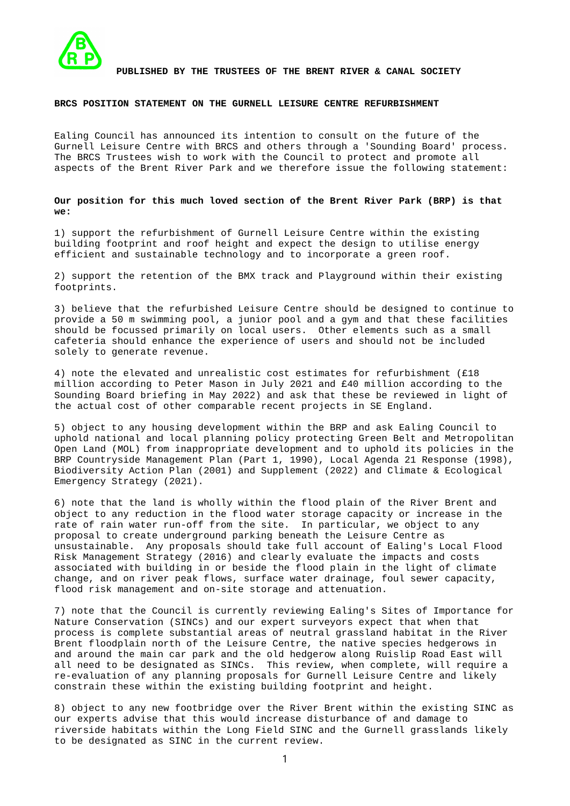

PUBLISHED BY THE TRUSTEES OF THE BRENT RIVER & CANAL SOCIETY

## BRCS POSITION STATEMENT ON THE GURNELL LEISURE CENTRE REFURBISHMENT

Ealing Council has announced its intention to consult on the future of the Gurnell Leisure Centre with BRCS and others through a 'Sounding Board' process. The BRCS Trustees wish to work with the Council to protect and promote all aspects of the Brent River Park and we therefore issue the following statement:

Our position for this much loved section of the Brent River Park (BRP) is that we:

1) support the refurbishment of Gurnell Leisure Centre within the existing building footprint and roof height and expect the design to utilise energy efficient and sustainable technology and to incorporate a green roof.

2) support the retention of the BMX track and Playground within their existing footprints.

3) believe that the refurbished Leisure Centre should be designed to continue to provide a 50 m swimming pool, a junior pool and a gym and that these facilities should be focussed primarily on local users. Other elements such as a small cafeteria should enhance the experience of users and should not be included solely to generate revenue.

4) note the elevated and unrealistic cost estimates for refurbishment (£18 million according to Peter Mason in July 2021 and £40 million according to the Sounding Board briefing in May 2022) and ask that these be reviewed in light of the actual cost of other comparable recent projects in SE England.

5) object to any housing development within the BRP and ask Ealing Council to uphold national and local planning policy protecting Green Belt and Metropolitan Open Land (MOL) from inappropriate development and to uphold its policies in the BRP Countryside Management Plan (Part 1, 1990), Local Agenda 21 Response (1998), Biodiversity Action Plan (2001) and Supplement (2022) and Climate & Ecological Emergency Strategy (2021).

6) note that the land is wholly within the flood plain of the River Brent and object to any reduction in the flood water storage capacity or increase in the rate of rain water run-off from the site. In particular, we object to any proposal to create underground parking beneath the Leisure Centre as unsustainable. Any proposals should take full account of Ealing's Local Flood Risk Management Strategy (2016) and clearly evaluate the impacts and costs associated with building in or beside the flood plain in the light of climate change, and on river peak flows, surface water drainage, foul sewer capacity, flood risk management and on-site storage and attenuation.

7) note that the Council is currently reviewing Ealing's Sites of Importance for Nature Conservation (SINCs) and our expert surveyors expect that when that process is complete substantial areas of neutral grassland habitat in the River Brent floodplain north of the Leisure Centre, the native species hedgerows in and around the main car park and the old hedgerow along Ruislip Road East will all need to be designated as SINCs. This review, when complete, will require a re-evaluation of any planning proposals for Gurnell Leisure Centre and likely constrain these within the existing building footprint and height.

8) object to any new footbridge over the River Brent within the existing SINC as our experts advise that this would increase disturbance of and damage to riverside habitats within the Long Field SINC and the Gurnell grasslands likely to be designated as SINC in the current review.